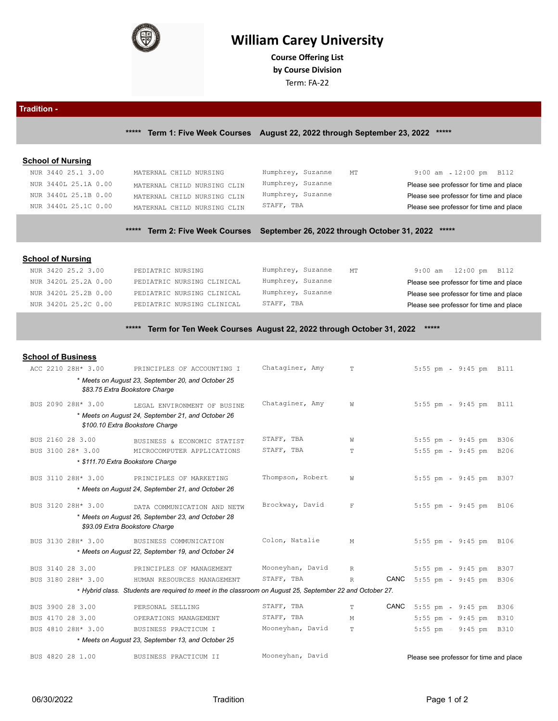

# **William Carey University**

**Course Ofering List by Course Division**

Term: FA-22

**Tradition - \*\*\*\*\* Term 1: Five Week Courses August 22, 2022 through September 23, 2022 \*\*\*\*\***

## **School of Nursing**

| NUR 3440 25.1 3.00   | MATERNAL CHILD NURSING      | Humphrey, Suzanne<br>МT | $9:00$ am $12:00$ pm B112               |
|----------------------|-----------------------------|-------------------------|-----------------------------------------|
| NUR 3440L 25.1A 0.00 | MATERNAL CHILD NURSING CLIN | Humphrey, Suzanne       | Please see professor for time and place |
| NUR 3440L 25.1B 0.00 | MATERNAL CHILD NURSING CLIN | Humphrey, Suzanne       | Please see professor for time and place |
| NUR 3440L 25.1C 0.00 | MATERNAL CHILD NURSING CLIN | STAFF, TBA              | Please see professor for time and place |
|                      |                             |                         |                                         |

## **\*\*\*\*\* Term 2: Five Week Courses September 26, 2022 through October 31, 2022 \*\*\*\*\***

## **School of Nursing**

| NUR 3420 25.2 3.00   | PEDIATRIC NURSING          | Humphrey, Suzanne<br>МT | $9:00$ am $-12:00$ pm B112              |
|----------------------|----------------------------|-------------------------|-----------------------------------------|
| NUR 3420L 25.2A 0.00 | PEDIATRIC NURSING CLINICAL | Humphrey, Suzanne       | Please see professor for time and place |
| NUR 3420L 25.2B 0.00 | PEDIATRIC NURSING CLINICAL | Humphrey, Suzanne       | Please see professor for time and place |
| NUR 3420L 25.2C 0.00 | PEDIATRIC NURSING CLINICAL | STAFF, TBA              | Please see professor for time and place |
|                      |                            |                         |                                         |

## **\*\*\*\*\* Term for Ten Week Courses August 22, 2022 through October 31, 2022 \*\*\*\*\***

### **School of Business**

| ACC 2210 28H* 3.00                | PRINCIPLES OF ACCOUNTING I                                                                                | Chataginer, Amy  | T.                   | 5:55 pm - 9:45 pm B111                  |  |
|-----------------------------------|-----------------------------------------------------------------------------------------------------------|------------------|----------------------|-----------------------------------------|--|
|                                   | * Meets on August 23, September 20, and October 25                                                        |                  |                      |                                         |  |
|                                   | \$83.75 Extra Bookstore Charge                                                                            |                  |                      |                                         |  |
| BUS 2090 28H* 3.00                | LEGAL ENVIRONMENT OF BUSINE                                                                               | Chataginer, Amy  | W                    | 5:55 pm - 9:45 pm B111                  |  |
|                                   | * Meets on August 24, September 21, and October 26                                                        |                  |                      |                                         |  |
|                                   | \$100.10 Extra Bookstore Charge                                                                           |                  |                      |                                         |  |
| BUS 2160 28 3.00                  | BUSINESS & ECONOMIC STATIST                                                                               | STAFF, TBA       | W                    | 5:55 pm - 9:45 pm B306                  |  |
| BUS 3100 28* 3.00                 | MICROCOMPUTER APPLICATIONS                                                                                | STAFF, TBA       | $\mathbb T$          | 5:55 pm - 9:45 pm B206                  |  |
| * \$111.70 Extra Bookstore Charge |                                                                                                           |                  |                      |                                         |  |
| BUS 3110 28H* 3.00                | PRINCIPLES OF MARKETING                                                                                   | Thompson, Robert | W                    | 5:55 pm - 9:45 pm B307                  |  |
|                                   | * Meets on August 24, September 21, and October 26                                                        |                  |                      |                                         |  |
|                                   |                                                                                                           | Brockway, David  |                      |                                         |  |
| BUS 3120 28H* 3.00                | DATA COMMUNICATION AND NETW                                                                               |                  | $\mathbf{F}$         | 5:55 pm - 9:45 pm B106                  |  |
|                                   | * Meets on August 26, September 23, and October 28<br>\$93.09 Extra Bookstore Charge                      |                  |                      |                                         |  |
|                                   |                                                                                                           |                  |                      |                                         |  |
| BUS 3130 28H* 3.00                | BUSINESS COMMUNICATION                                                                                    | Colon, Natalie   | M                    | 5:55 pm - 9:45 pm B106                  |  |
|                                   | * Meets on August 22, September 19, and October 24                                                        |                  |                      |                                         |  |
| BUS 3140 28 3.00                  | PRINCIPLES OF MANAGEMENT                                                                                  | Mooneyhan, David | $R_{\parallel}$      | 5:55 pm 9:45 pm B307                    |  |
| BUS 3180 28H* 3.00                | HUMAN RESOURCES MANAGEMENT                                                                                | STAFF, TBA       | CANC<br>$\mathbb{R}$ | 5:55 pm - 9:45 pm B306                  |  |
|                                   | * Hybrid class. Students are required to meet in the classroom on August 25, September 22 and October 27. |                  |                      |                                         |  |
| BUS 3900 28 3.00                  | PERSONAL SELLING                                                                                          | STAFF, TBA       | T                    | CANC 5:55 pm - 9:45 pm B306             |  |
| BUS 4170 28 3.00                  | OPERATIONS MANAGEMENT                                                                                     | STAFF, TBA       | M                    | 5:55 pm - 9:45 pm B310                  |  |
| BUS 4810 28H* 3.00                | BUSINESS PRACTICUM I                                                                                      | Mooneyhan, David | T.                   | 5:55 pm 9:45 pm B310                    |  |
|                                   | * Meets on August 23, September 13, and October 25                                                        |                  |                      |                                         |  |
| BUS 4820 28 1.00                  | BUSINESS PRACTICUM II                                                                                     | Mooneyhan, David |                      | Please see professor for time and place |  |
|                                   |                                                                                                           |                  |                      |                                         |  |